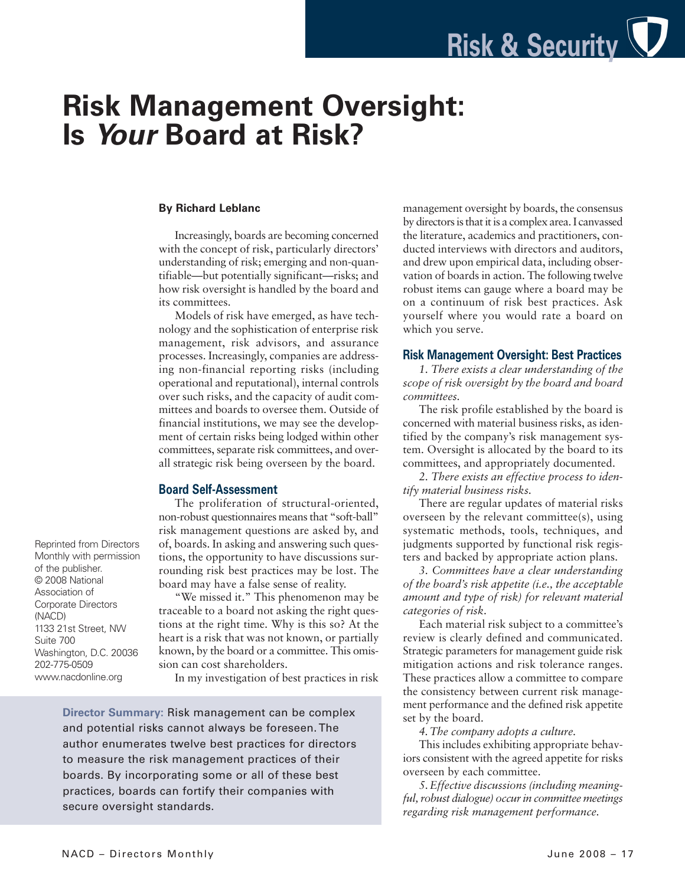# **Risk Management Oversight: Is** *Your* **Board at Risk?**

#### **By Richard Leblanc**

Increasingly, boards are becoming concerned with the concept of risk, particularly directors' understanding of risk; emerging and non-quantifiable—but potentially significant—risks; and how risk oversight is handled by the board and its committees.

Models of risk have emerged, as have technology and the sophistication of enterprise risk management, risk advisors, and assurance processes. Increasingly, companies are addressing non-financial reporting risks (including operational and reputational), internal controls over such risks, and the capacity of audit committees and boards to oversee them. Outside of financial institutions, we may see the development of certain risks being lodged within other committees, separate risk committees, and overall strategic risk being overseen by the board.

### **Board Self-Assessment**

The proliferation of structural-oriented, non-robust questionnaires means that "soft-ball" risk management questions are asked by, and of, boards. In asking and answering such questions, the opportunity to have discussions surrounding risk best practices may be lost. The board may have a false sense of reality.

"We missed it." This phenomenon may be traceable to a board not asking the right questions at the right time. Why is this so? At the heart is a risk that was not known, or partially known, by the board or a committee. This omission can cost shareholders.

In my investigation of best practices in risk

**Director Summary:** Risk management can be complex and potential risks cannot always be foreseen. The author enumerates twelve best practices for directors to measure the risk management practices of their boards. By incorporating some or all of these best practices, boards can fortify their companies with secure oversight standards.

management oversight by boards, the consensus by directors is that it is a complex area. I canvassed the literature, academics and practitioners, conducted interviews with directors and auditors, and drew upon empirical data, including observation of boards in action. The following twelve robust items can gauge where a board may be on a continuum of risk best practices. Ask yourself where you would rate a board on which you serve.

## **Risk Management Oversight: Best Practices**

*1. There exists a clear understanding of the scope of risk oversight by the board and board committees.*

The risk profile established by the board is concerned with material business risks, as identified by the company's risk management system. Oversight is allocated by the board to its committees, and appropriately documented.

*2. There exists an effective process to identify material business risks.*

There are regular updates of material risks overseen by the relevant committee(s), using systematic methods, tools, techniques, and judgments supported by functional risk registers and backed by appropriate action plans.

*3. Committees have a clear understanding of the board's risk appetite (i.e., the acceptable amount and type of risk) for relevant material categories of risk.*

Each material risk subject to a committee's review is clearly defined and communicated. Strategic parameters for management guide risk mitigation actions and risk tolerance ranges. These practices allow a committee to compare the consistency between current risk management performance and the defined risk appetite set by the board.

*4.The company adopts a culture.*

This includes exhibiting appropriate behaviors consistent with the agreed appetite for risks overseen by each committee.

*5.Effective discussions (including meaningful,robust dialogue) occurin committee meetings regarding risk management performance.*

Reprinted from Directors Monthly with permission of the publisher. © 2008 National Association of Corporate Directors (NACD) 1133 21st Street, NW Suite 700 Washington, D.C. 20036 202-775-0509 www.nacdonline.org